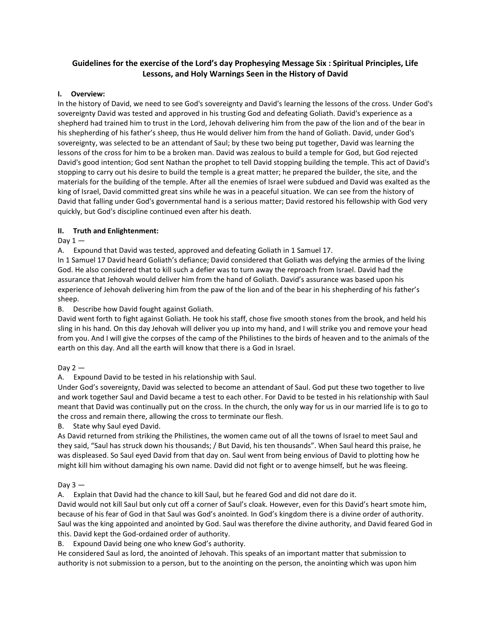# **Guidelines for the exercise of the Lord's day Prophesying Message Six : Spiritual Principles, Life Lessons, and Holy Warnings Seen in the History of David**

## **I. Overview:**

In the history of David, we need to see God's sovereignty and David's learning the lessons of the cross. Under God's sovereignty David was tested and approved in his trusting God and defeating Goliath. David's experience as a shepherd had trained him to trust in the Lord, Jehovah delivering him from the paw of the lion and of the bear in his shepherding of his father's sheep, thus He would deliver him from the hand of Goliath. David, under God's sovereignty, was selected to be an attendant of Saul; by these two being put together, David was learning the lessons of the cross for him to be a broken man. David was zealous to build a temple for God, but God rejected David's good intention; God sent Nathan the prophet to tell David stopping building the temple. This act of David's stopping to carry out his desire to build the temple is a great matter; he prepared the builder, the site, and the materials for the building of the temple. After all the enemies of Israel were subdued and David was exalted as the king of Israel, David committed great sins while he was in a peaceful situation. We can see from the history of David that falling under God's governmental hand is a serious matter; David restored his fellowship with God very quickly, but God's discipline continued even after his death.

### **II. Truth and Enlightenment:**

Day  $1 -$ 

A. Expound that David was tested, approved and defeating Goliath in 1 Samuel 17.

In 1 Samuel 17 David heard Goliath's defiance; David considered that Goliath was defying the armies of the living God. He also considered that to kill such a defier was to turn away the reproach from Israel. David had the assurance that Jehovah would deliver him from the hand of Goliath. David's assurance was based upon his experience of Jehovah delivering him from the paw of the lion and of the bear in his shepherding of his father's sheep.

### B. Describe how David fought against Goliath.

David went forth to fight against Goliath. He took his staff, chose five smooth stones from the brook, and held his sling in his hand. On this day Jehovah will deliver you up into my hand, and I will strike you and remove your head from you. And I will give the corpses of the camp of the Philistines to the birds of heaven and to the animals of the earth on this day. And all the earth will know that there is a God in Israel.

#### Day  $2 -$

A. Expound David to be tested in his relationship with Saul.

Under God's sovereignty, David was selected to become an attendant of Saul. God put these two together to live and work together Saul and David became a test to each other. For David to be tested in his relationship with Saul meant that David was continually put on the cross. In the church, the only way for us in our married life is to go to the cross and remain there, allowing the cross to terminate our flesh.

B. State why Saul eyed David.

As David returned from striking the Philistines, the women came out of all the towns of Israel to meet Saul and they said, "Saul has struck down his thousands; / But David, his ten thousands". When Saul heard this praise, he was displeased. So Saul eyed David from that day on. Saul went from being envious of David to plotting how he might kill him without damaging his own name. David did not fight or to avenge himself, but he was fleeing.

# Day  $3 -$

A. Explain that David had the chance to kill Saul, but he feared God and did not dare do it.

David would not kill Saul but only cut off a corner of Saul's cloak. However, even for this David's heart smote him, because of his fear of God in that Saul was God's anointed. In God's kingdom there is a divine order of authority. Saul was the king appointed and anointed by God. Saul was therefore the divine authority, and David feared God in this. David kept the God-ordained order of authority.

B. Expound David being one who knew God's authority.

He considered Saul as lord, the anointed of Jehovah. This speaks of an important matter that submission to authority is not submission to a person, but to the anointing on the person, the anointing which was upon him